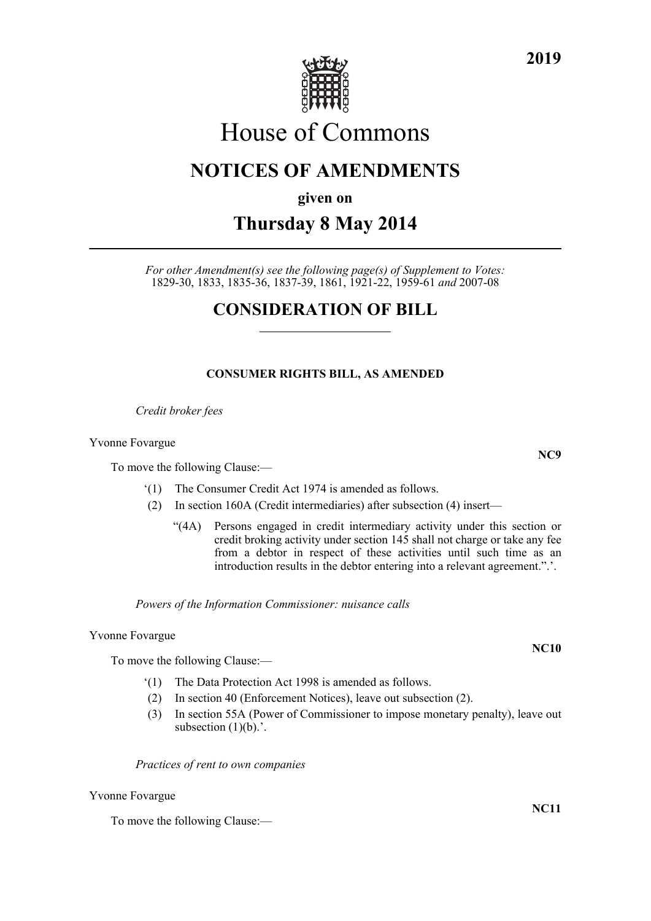

# House of Commons

### **NOTICES OF AMENDMENTS**

**given on**

## **Thursday 8 May 2014**

*For other Amendment(s) see the following page(s) of Supplement to Votes:* 1829-30, 1833, 1835-36, 1837-39, 1861, 1921-22, 1959-61 *and* 2007-08

### **CONSIDERATION OF BILL**

### **CONSUMER RIGHTS BILL, AS AMENDED**

*Credit broker fees*

Yvonne Fovargue

To move the following Clause:—

- '(1) The Consumer Credit Act 1974 is amended as follows.
- (2) In section 160A (Credit intermediaries) after subsection (4) insert—
	- "(4A) Persons engaged in credit intermediary activity under this section or credit broking activity under section 145 shall not charge or take any fee from a debtor in respect of these activities until such time as an introduction results in the debtor entering into a relevant agreement.".'.

*Powers of the Information Commissioner: nuisance calls*

Yvonne Fovargue

To move the following Clause:—

- '(1) The Data Protection Act 1998 is amended as follows.
- (2) In section 40 (Enforcement Notices), leave out subsection (2).
- (3) In section 55A (Power of Commissioner to impose monetary penalty), leave out subsection  $(1)(b)$ .'.

*Practices of rent to own companies*

Yvonne Fovargue

To move the following Clause:—

**2019**

**NC10**

**NC11**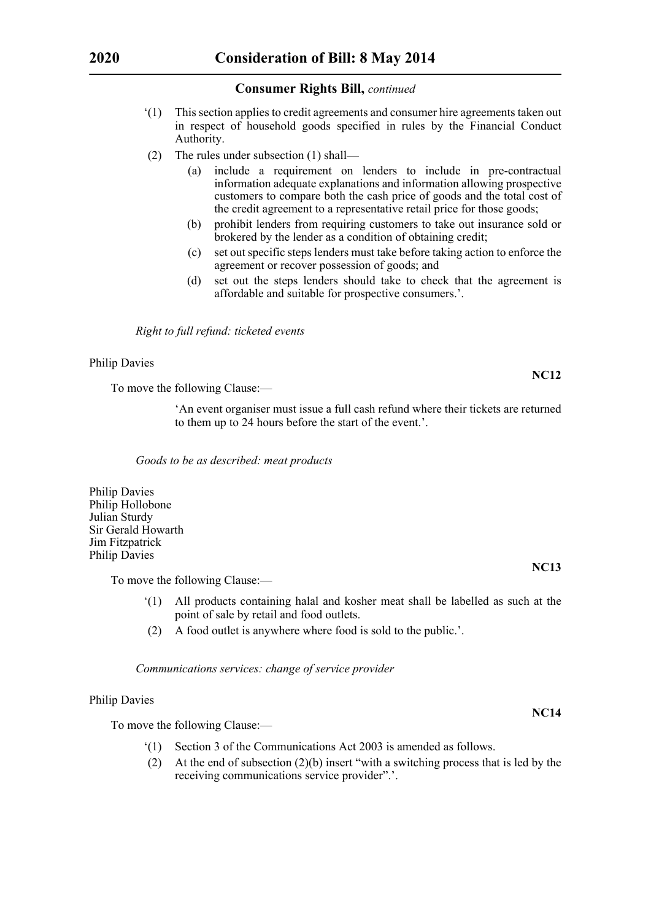- '(1) This section applies to credit agreements and consumer hire agreements taken out in respect of household goods specified in rules by the Financial Conduct Authority.
- (2) The rules under subsection (1) shall—
	- (a) include a requirement on lenders to include in pre-contractual information adequate explanations and information allowing prospective customers to compare both the cash price of goods and the total cost of the credit agreement to a representative retail price for those goods;
	- (b) prohibit lenders from requiring customers to take out insurance sold or brokered by the lender as a condition of obtaining credit;
	- (c) set out specific steps lenders must take before taking action to enforce the agreement or recover possession of goods; and
	- (d) set out the steps lenders should take to check that the agreement is affordable and suitable for prospective consumers.'.

#### *Right to full refund: ticketed events*

#### Philip Davies

To move the following Clause:—

'An event organiser must issue a full cash refund where their tickets are returned to them up to 24 hours before the start of the event.'.

*Goods to be as described: meat products*

Philip Davies Philip Hollobone Julian Sturdy Sir Gerald Howarth Jim Fitzpatrick Philip Davies

To move the following Clause:—

- '(1) All products containing halal and kosher meat shall be labelled as such at the point of sale by retail and food outlets.
- (2) A food outlet is anywhere where food is sold to the public.'.

*Communications services: change of service provider*

#### Philip Davies

To move the following Clause:—

- '(1) Section 3 of the Communications Act 2003 is amended as follows.
- (2) At the end of subsection (2)(b) insert "with a switching process that is led by the receiving communications service provider".'.

**NC12**

**NC13**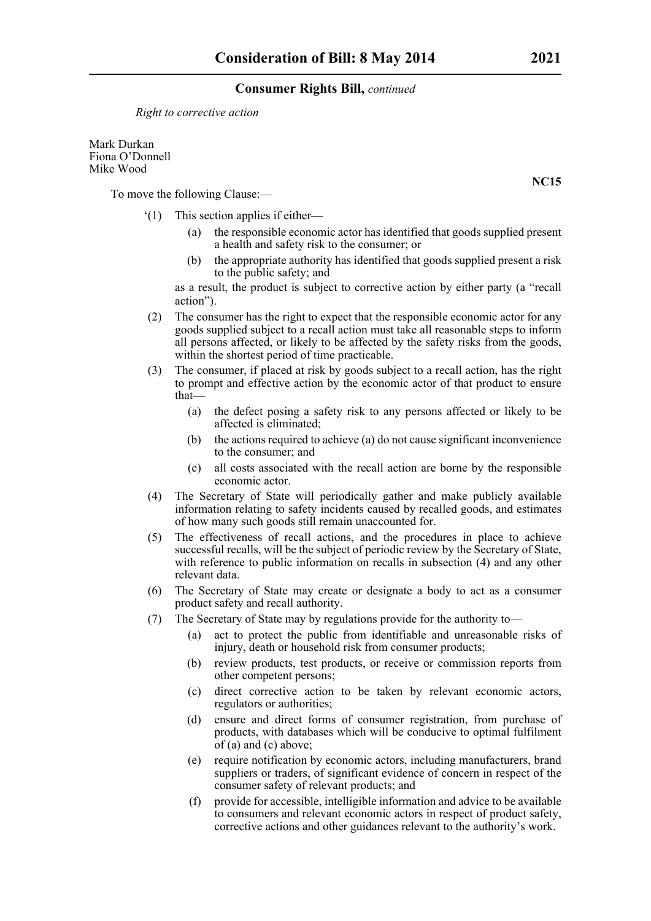*Right to corrective action*

Mark Durkan Fiona O'Donnell Mike Wood

To move the following Clause:—

- '(1) This section applies if either—
	- (a) the responsible economic actor has identified that goods supplied present a health and safety risk to the consumer; or
	- (b) the appropriate authority has identified that goods supplied present a risk to the public safety; and

as a result, the product is subject to corrective action by either party (a "recall action").

- (2) The consumer has the right to expect that the responsible economic actor for any goods supplied subject to a recall action must take all reasonable steps to inform all persons affected, or likely to be affected by the safety risks from the goods, within the shortest period of time practicable.
- (3) The consumer, if placed at risk by goods subject to a recall action, has the right to prompt and effective action by the economic actor of that product to ensure that—
	- (a) the defect posing a safety risk to any persons affected or likely to be affected is eliminated;
	- (b) the actions required to achieve (a) do not cause significant inconvenience to the consumer; and
	- (c) all costs associated with the recall action are borne by the responsible economic actor.
- (4) The Secretary of State will periodically gather and make publicly available information relating to safety incidents caused by recalled goods, and estimates of how many such goods still remain unaccounted for.
- (5) The effectiveness of recall actions, and the procedures in place to achieve successful recalls, will be the subject of periodic review by the Secretary of State, with reference to public information on recalls in subsection (4) and any other relevant data.
- (6) The Secretary of State may create or designate a body to act as a consumer product safety and recall authority.
- (7) The Secretary of State may by regulations provide for the authority to—
	- (a) act to protect the public from identifiable and unreasonable risks of injury, death or household risk from consumer products;
	- (b) review products, test products, or receive or commission reports from other competent persons;
	- (c) direct corrective action to be taken by relevant economic actors, regulators or authorities;
	- (d) ensure and direct forms of consumer registration, from purchase of products, with databases which will be conducive to optimal fulfilment of (a) and (c) above;
	- (e) require notification by economic actors, including manufacturers, brand suppliers or traders, of significant evidence of concern in respect of the consumer safety of relevant products; and
	- (f) provide for accessible, intelligible information and advice to be available to consumers and relevant economic actors in respect of product safety, corrective actions and other guidances relevant to the authority's work.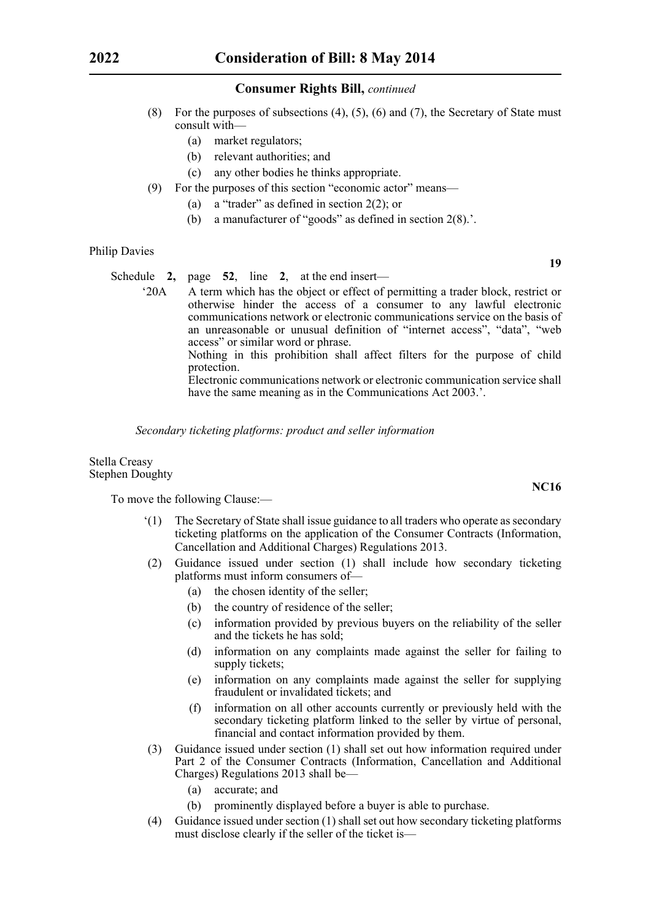- (8) For the purposes of subsections  $(4)$ ,  $(5)$ ,  $(6)$  and  $(7)$ , the Secretary of State must consult with—
	- (a) market regulators;
	- (b) relevant authorities; and
	- (c) any other bodies he thinks appropriate.
- (9) For the purposes of this section "economic actor" means—
	- (a) a "trader" as defined in section 2(2); or
	- (b) a manufacturer of "goods" as defined in section 2(8).'.

#### Philip Davies

Schedule **2,** page **52**, line **2**, at the end insert—

'20A A term which has the object or effect of permitting a trader block, restrict or otherwise hinder the access of a consumer to any lawful electronic communications network or electronic communications service on the basis of an unreasonable or unusual definition of "internet access", "data", "web access" or similar word or phrase.

Nothing in this prohibition shall affect filters for the purpose of child protection.

Electronic communications network or electronic communication service shall have the same meaning as in the Communications Act 2003.'.

*Secondary ticketing platforms: product and seller information*

#### Stella Creasy Stephen Doughty

To move the following Clause:—

- '(1) The Secretary of State shall issue guidance to all traders who operate as secondary ticketing platforms on the application of the Consumer Contracts (Information, Cancellation and Additional Charges) Regulations 2013.
- (2) Guidance issued under section (1) shall include how secondary ticketing platforms must inform consumers of—
	- (a) the chosen identity of the seller;
	- (b) the country of residence of the seller;
	- (c) information provided by previous buyers on the reliability of the seller and the tickets he has sold;
	- (d) information on any complaints made against the seller for failing to supply tickets;
	- (e) information on any complaints made against the seller for supplying fraudulent or invalidated tickets; and
	- (f) information on all other accounts currently or previously held with the secondary ticketing platform linked to the seller by virtue of personal, financial and contact information provided by them.
- (3) Guidance issued under section (1) shall set out how information required under Part 2 of the Consumer Contracts (Information, Cancellation and Additional Charges) Regulations 2013 shall be—
	- (a) accurate; and
	- (b) prominently displayed before a buyer is able to purchase.
- (4) Guidance issued under section (1) shall set out how secondary ticketing platforms must disclose clearly if the seller of the ticket is—

**19**